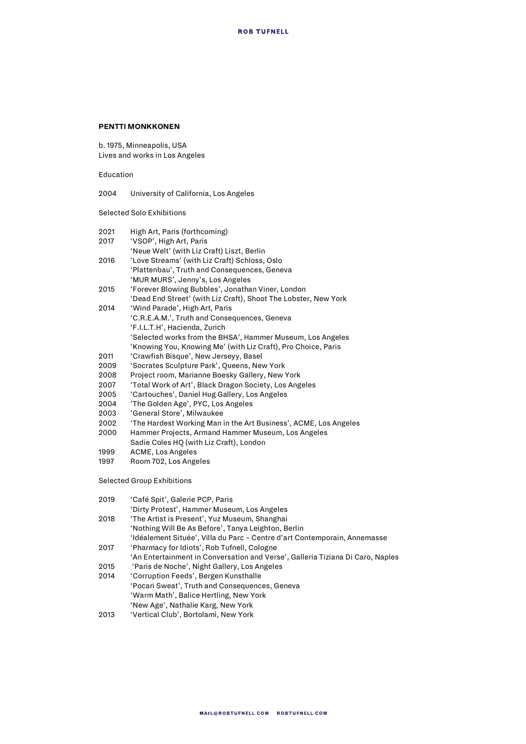## **PENTTI MONKKONEN**

b. 1975, Minneapolis, USA Lives and works in Los Angeles

Education

2004 University of California, Los Angeles

Selected Solo Exhibitions

| 2021 | High Art, Paris (forthcoming)                                    |
|------|------------------------------------------------------------------|
| 2017 | 'VSOP', High Art, Paris                                          |
|      | 'Neue Welt' (with Liz Craft) Liszt, Berlin                       |
| 2016 | 'Love Streams' (with Liz Craft) Schloss, Oslo                    |
|      | 'Plattenbau', Truth and Consequences, Geneva                     |
|      | 'MUR MURS', Jenny's, Los Angeles                                 |
| 2015 | 'Forever Blowing Bubbles', Jonathan Viner, London                |
|      | 'Dead End Street' (with Liz Craft), Shoot The Lobster, New York  |
| 2014 | 'Wind Parade', High Art, Paris                                   |
|      | 'C.R.E.A.M.', Truth and Consequences, Geneva                     |
|      | 'F.I.L.T.H', Hacienda, Zurich                                    |
|      | 'Selected works from the BHSA', Hammer Museum, Los Angeles       |
|      | 'Knowing You, Knowing Me' (with Liz Craft), Pro Choice, Paris    |
| 2011 | 'Crawfish Bisque', New Jerseyy, Basel                            |
| 2009 | 'Socrates Sculpture Park', Queens, New York                      |
| 2008 | Project room, Marianne Boesky Gallery, New York                  |
| 2007 | 'Total Work of Art', Black Dragon Society, Los Angeles           |
| 2005 | 'Cartouches', Daniel Hug Gallery, Los Angeles                    |
| 2004 | 'The Golden Age', PYC, Los Angeles                               |
| 2003 | 'General Store', Milwaukee                                       |
| 2002 | 'The Hardest Working Man in the Art Business', ACME, Los Angeles |
| 2000 | Hammer Projects, Armand Hammer Museum, Los Angeles               |
|      | Sadie Coles HQ (with Liz Craft), London                          |
| 1999 | <b>ACME, Los Angeles</b>                                         |
| 1997 | Room 702, Los Angeles                                            |
|      | <b>Selected Group Exhibitions</b>                                |
|      |                                                                  |

2019 'Café Spit', Galerie PCP, Paris

| 2019 | "Café Spit", Galerie PCP, Paris                                                |
|------|--------------------------------------------------------------------------------|
|      | 'Dirty Protest', Hammer Museum, Los Angeles                                    |
| 2018 | 'The Artist is Present', Yuz Museum, Shanghai                                  |
|      | 'Nothing Will Be As Before', Tanya Leighton, Berlin                            |
|      | 'Idéalement Située', Villa du Parc – Centre d'art Contemporain, Annemasse      |
| 2017 | 'Pharmacy for Idiots', Rob Tufnell, Cologne                                    |
|      | 'An Entertainment in Conversation and Verse', Galleria Tiziana Di Caro, Naples |
| 2015 | 'Paris de Noche', Night Gallery, Los Angeles                                   |
| 2014 | 'Corruption Feeds', Bergen Kunsthalle                                          |
|      | $\sim$ $\sim$ $\sim$ $\sim$ $\sim$ $\sim$                                      |

'Pocari Sweat', Truth and Consequences, Geneva 'Warm Math', Balice Hertling, New York 'New Age', Nathalie Karg, New York

2013 'Vertical Club', Bortolami, New York